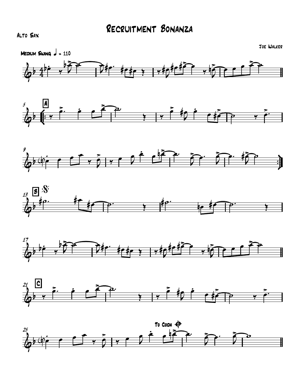## Alto Sax













Joe Walker